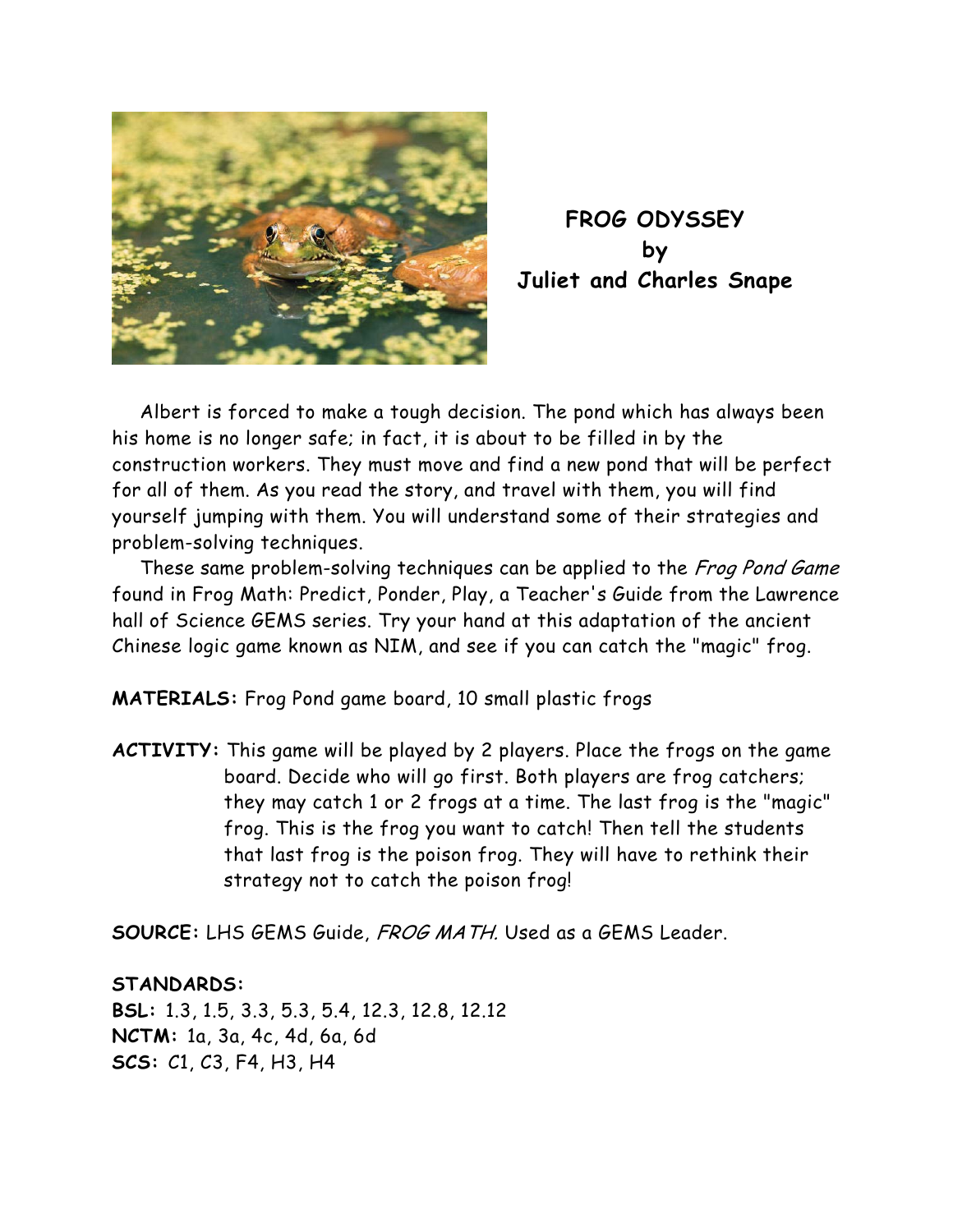

**FROG ODYSSEY by Juliet and Charles Snape** 

Albert is forced to make a tough decision. The pond which has always been his home is no longer safe; in fact, it is about to be filled in by the construction workers. They must move and find a new pond that will be perfect for all of them. As you read the story, and travel with them, you will find yourself jumping with them. You will understand some of their strategies and problem-solving techniques.

These same problem-solving techniques can be applied to the Frog Pond Game found in Frog Math: Predict, Ponder, Play, a Teacher's Guide from the Lawrence hall of Science GEMS series. Try your hand at this adaptation of the ancient Chinese logic game known as NIM, and see if you can catch the "magic" frog.

**MATERIALS:** Frog Pond game board, 10 small plastic frogs

**ACTIVITY:** This game will be played by 2 players. Place the frogs on the game board. Decide who will go first. Both players are frog catchers; they may catch 1 or 2 frogs at a time. The last frog is the "magic" frog. This is the frog you want to catch! Then tell the students that last frog is the poison frog. They will have to rethink their strategy not to catch the poison frog!

**SOURCE:** LHS GEMS Guide, FROG MATH. Used as a GEMS Leader.

## **STANDARDS:**

**BSL:** 1.3, 1.5, 3.3, 5.3, 5.4, 12.3, 12.8, 12.12 **NCTM:** 1a, 3a, 4c, 4d, 6a, 6d **SCS:** C1, C3, F4, H3, H4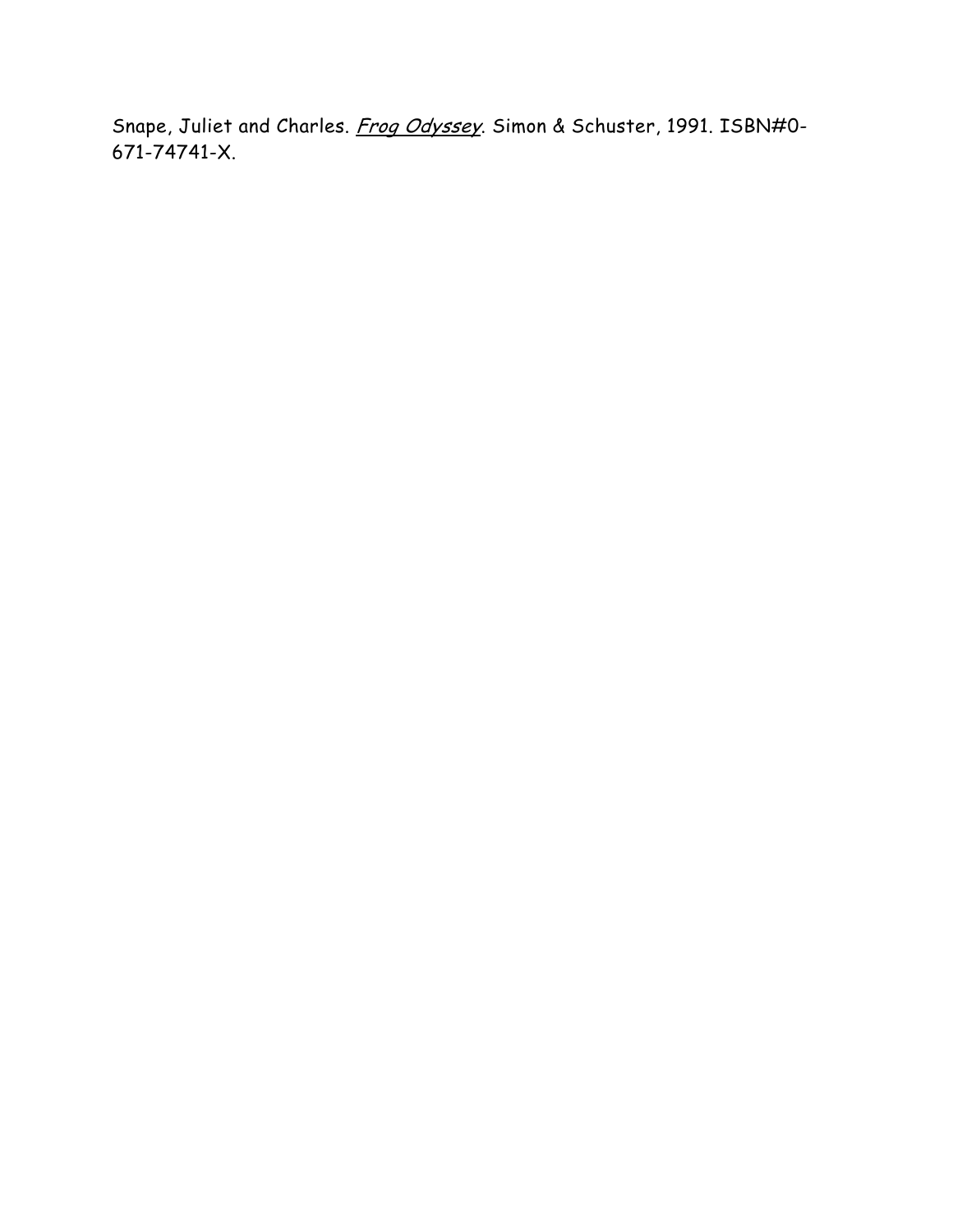Snape, Juliet and Charles. Frog Odyssey. Simon & Schuster, 1991. ISBN#0-671-74741-X.